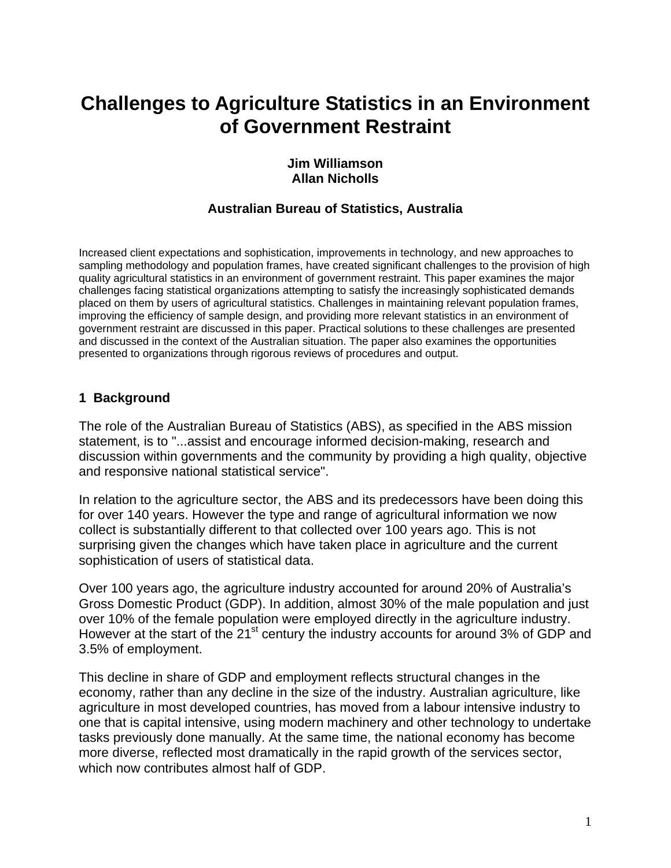# **Challenges to Agriculture Statistics in an Environment of Government Restraint**

#### **Jim Williamson Allan Nicholls**

# **Australian Bureau of Statistics, Australia**

Increased client expectations and sophistication, improvements in technology, and new approaches to sampling methodology and population frames, have created significant challenges to the provision of high quality agricultural statistics in an environment of government restraint. This paper examines the major challenges facing statistical organizations attempting to satisfy the increasingly sophisticated demands placed on them by users of agricultural statistics. Challenges in maintaining relevant population frames, improving the efficiency of sample design, and providing more relevant statistics in an environment of government restraint are discussed in this paper. Practical solutions to these challenges are presented and discussed in the context of the Australian situation. The paper also examines the opportunities presented to organizations through rigorous reviews of procedures and output.

#### **1 Background**

The role of the Australian Bureau of Statistics (ABS), as specified in the ABS mission statement, is to "...assist and encourage informed decision-making, research and discussion within governments and the community by providing a high quality, objective and responsive national statistical service".

In relation to the agriculture sector, the ABS and its predecessors have been doing this for over 140 years. However the type and range of agricultural information we now collect is substantially different to that collected over 100 years ago. This is not surprising given the changes which have taken place in agriculture and the current sophistication of users of statistical data.

Over 100 years ago, the agriculture industry accounted for around 20% of Australia's Gross Domestic Product (GDP). In addition, almost 30% of the male population and just over 10% of the female population were employed directly in the agriculture industry. However at the start of the 21<sup>st</sup> century the industry accounts for around 3% of GDP and 3.5% of employment.

This decline in share of GDP and employment reflects structural changes in the economy, rather than any decline in the size of the industry. Australian agriculture, like agriculture in most developed countries, has moved from a labour intensive industry to one that is capital intensive, using modern machinery and other technology to undertake tasks previously done manually. At the same time, the national economy has become more diverse, reflected most dramatically in the rapid growth of the services sector, which now contributes almost half of GDP.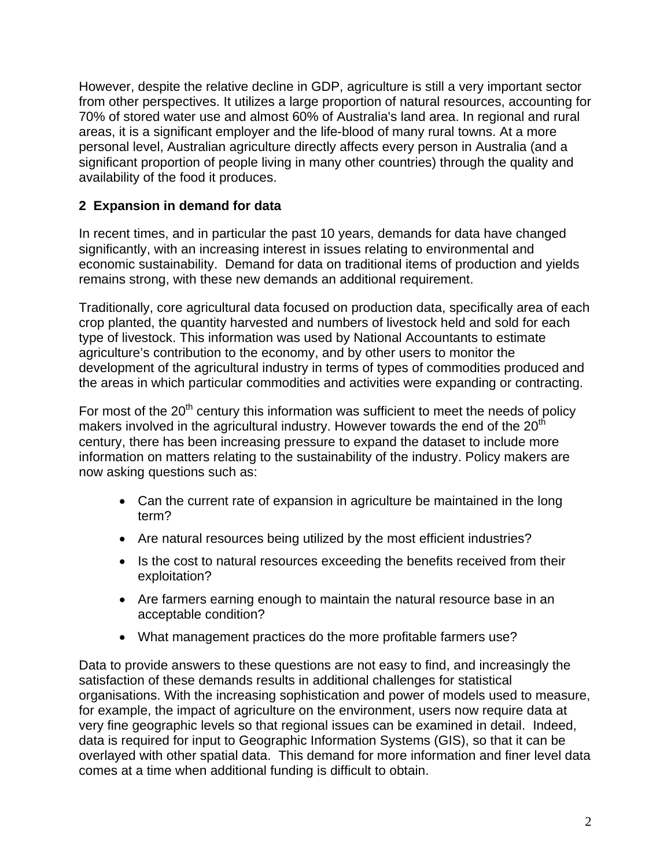However, despite the relative decline in GDP, agriculture is still a very important sector from other perspectives. It utilizes a large proportion of natural resources, accounting for 70% of stored water use and almost 60% of Australia's land area. In regional and rural areas, it is a significant employer and the life-blood of many rural towns. At a more personal level, Australian agriculture directly affects every person in Australia (and a significant proportion of people living in many other countries) through the quality and availability of the food it produces.

# **2 Expansion in demand for data**

In recent times, and in particular the past 10 years, demands for data have changed significantly, with an increasing interest in issues relating to environmental and economic sustainability. Demand for data on traditional items of production and yields remains strong, with these new demands an additional requirement.

Traditionally, core agricultural data focused on production data, specifically area of each crop planted, the quantity harvested and numbers of livestock held and sold for each type of livestock. This information was used by National Accountants to estimate agriculture's contribution to the economy, and by other users to monitor the development of the agricultural industry in terms of types of commodities produced and the areas in which particular commodities and activities were expanding or contracting.

For most of the  $20<sup>th</sup>$  century this information was sufficient to meet the needs of policy makers involved in the agricultural industry. However towards the end of the  $20<sup>th</sup>$ century, there has been increasing pressure to expand the dataset to include more information on matters relating to the sustainability of the industry. Policy makers are now asking questions such as:

- Can the current rate of expansion in agriculture be maintained in the long term?
- Are natural resources being utilized by the most efficient industries?
- Is the cost to natural resources exceeding the benefits received from their exploitation?
- Are farmers earning enough to maintain the natural resource base in an acceptable condition?
- What management practices do the more profitable farmers use?

Data to provide answers to these questions are not easy to find, and increasingly the satisfaction of these demands results in additional challenges for statistical organisations. With the increasing sophistication and power of models used to measure, for example, the impact of agriculture on the environment, users now require data at very fine geographic levels so that regional issues can be examined in detail. Indeed, data is required for input to Geographic Information Systems (GIS), so that it can be overlayed with other spatial data. This demand for more information and finer level data comes at a time when additional funding is difficult to obtain.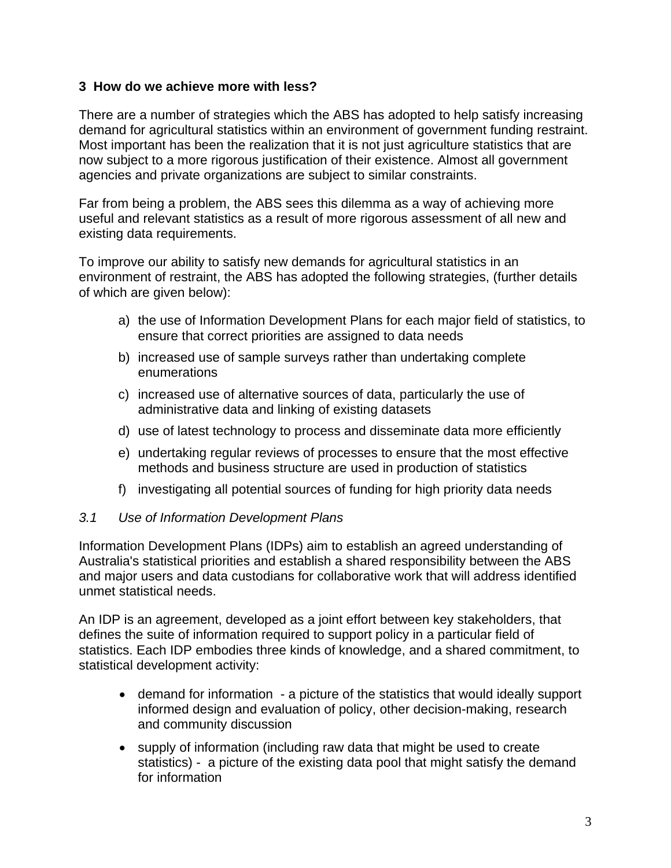#### **3 How do we achieve more with less?**

There are a number of strategies which the ABS has adopted to help satisfy increasing demand for agricultural statistics within an environment of government funding restraint. Most important has been the realization that it is not just agriculture statistics that are now subject to a more rigorous justification of their existence. Almost all government agencies and private organizations are subject to similar constraints.

Far from being a problem, the ABS sees this dilemma as a way of achieving more useful and relevant statistics as a result of more rigorous assessment of all new and existing data requirements.

To improve our ability to satisfy new demands for agricultural statistics in an environment of restraint, the ABS has adopted the following strategies, (further details of which are given below):

- a) the use of Information Development Plans for each major field of statistics, to ensure that correct priorities are assigned to data needs
- b) increased use of sample surveys rather than undertaking complete enumerations
- c) increased use of alternative sources of data, particularly the use of administrative data and linking of existing datasets
- d) use of latest technology to process and disseminate data more efficiently
- e) undertaking regular reviews of processes to ensure that the most effective methods and business structure are used in production of statistics
- f) investigating all potential sources of funding for high priority data needs

#### *3.1 Use of Information Development Plans*

Information Development Plans (IDPs) aim to establish an agreed understanding of Australia's statistical priorities and establish a shared responsibility between the ABS and major users and data custodians for collaborative work that will address identified unmet statistical needs.

An IDP is an agreement, developed as a joint effort between key stakeholders, that defines the suite of information required to support policy in a particular field of statistics. Each IDP embodies three kinds of knowledge, and a shared commitment, to statistical development activity:

- demand for information a picture of the statistics that would ideally support informed design and evaluation of policy, other decision-making, research and community discussion
- supply of information (including raw data that might be used to create statistics) - a picture of the existing data pool that might satisfy the demand for information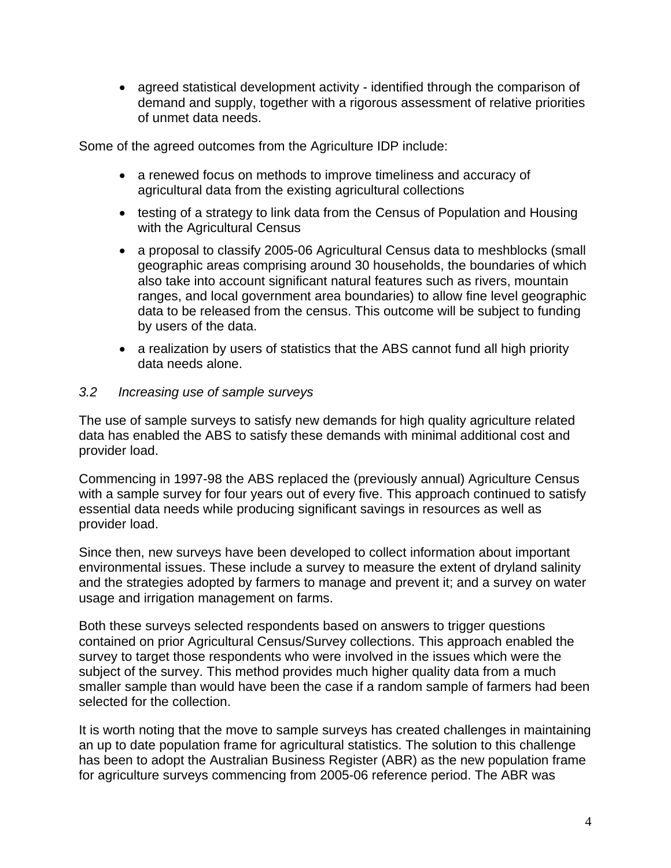• agreed statistical development activity - identified through the comparison of demand and supply, together with a rigorous assessment of relative priorities of unmet data needs.

Some of the agreed outcomes from the Agriculture IDP include:

- a renewed focus on methods to improve timeliness and accuracy of agricultural data from the existing agricultural collections
- testing of a strategy to link data from the Census of Population and Housing with the Agricultural Census
- a proposal to classify 2005-06 Agricultural Census data to meshblocks (small geographic areas comprising around 30 households, the boundaries of which also take into account significant natural features such as rivers, mountain ranges, and local government area boundaries) to allow fine level geographic data to be released from the census. This outcome will be subject to funding by users of the data.
- a realization by users of statistics that the ABS cannot fund all high priority data needs alone.

#### *3.2 Increasing use of sample surveys*

The use of sample surveys to satisfy new demands for high quality agriculture related data has enabled the ABS to satisfy these demands with minimal additional cost and provider load.

Commencing in 1997-98 the ABS replaced the (previously annual) Agriculture Census with a sample survey for four years out of every five. This approach continued to satisfy essential data needs while producing significant savings in resources as well as provider load.

Since then, new surveys have been developed to collect information about important environmental issues. These include a survey to measure the extent of dryland salinity and the strategies adopted by farmers to manage and prevent it; and a survey on water usage and irrigation management on farms.

Both these surveys selected respondents based on answers to trigger questions contained on prior Agricultural Census/Survey collections. This approach enabled the survey to target those respondents who were involved in the issues which were the subject of the survey. This method provides much higher quality data from a much smaller sample than would have been the case if a random sample of farmers had been selected for the collection.

It is worth noting that the move to sample surveys has created challenges in maintaining an up to date population frame for agricultural statistics. The solution to this challenge has been to adopt the Australian Business Register (ABR) as the new population frame for agriculture surveys commencing from 2005-06 reference period. The ABR was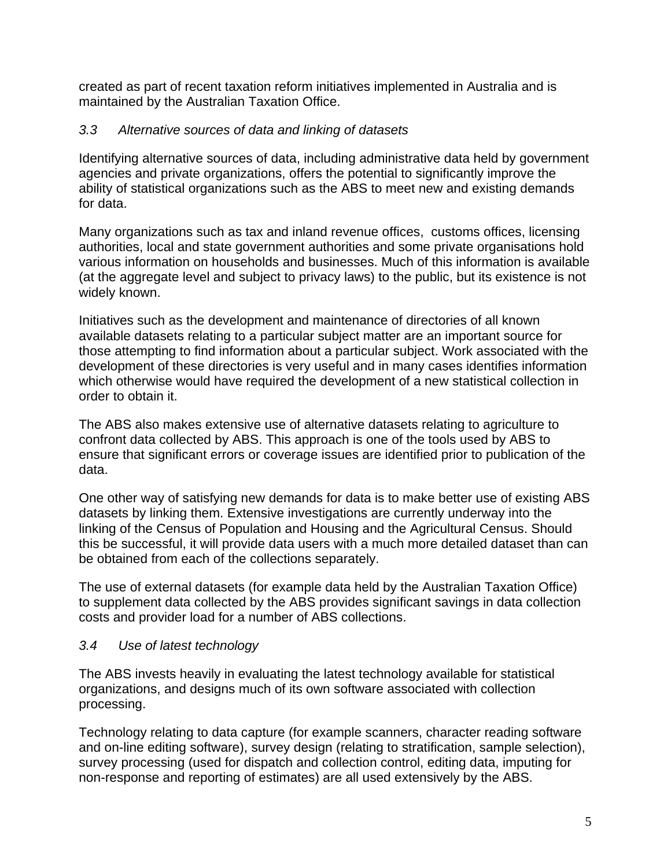created as part of recent taxation reform initiatives implemented in Australia and is maintained by the Australian Taxation Office.

### *3.3 Alternative sources of data and linking of datasets*

Identifying alternative sources of data, including administrative data held by government agencies and private organizations, offers the potential to significantly improve the ability of statistical organizations such as the ABS to meet new and existing demands for data.

Many organizations such as tax and inland revenue offices, customs offices, licensing authorities, local and state government authorities and some private organisations hold various information on households and businesses. Much of this information is available (at the aggregate level and subject to privacy laws) to the public, but its existence is not widely known.

Initiatives such as the development and maintenance of directories of all known available datasets relating to a particular subject matter are an important source for those attempting to find information about a particular subject. Work associated with the development of these directories is very useful and in many cases identifies information which otherwise would have required the development of a new statistical collection in order to obtain it.

The ABS also makes extensive use of alternative datasets relating to agriculture to confront data collected by ABS. This approach is one of the tools used by ABS to ensure that significant errors or coverage issues are identified prior to publication of the data.

One other way of satisfying new demands for data is to make better use of existing ABS datasets by linking them. Extensive investigations are currently underway into the linking of the Census of Population and Housing and the Agricultural Census. Should this be successful, it will provide data users with a much more detailed dataset than can be obtained from each of the collections separately.

The use of external datasets (for example data held by the Australian Taxation Office) to supplement data collected by the ABS provides significant savings in data collection costs and provider load for a number of ABS collections.

#### *3.4 Use of latest technology*

The ABS invests heavily in evaluating the latest technology available for statistical organizations, and designs much of its own software associated with collection processing.

Technology relating to data capture (for example scanners, character reading software and on-line editing software), survey design (relating to stratification, sample selection), survey processing (used for dispatch and collection control, editing data, imputing for non-response and reporting of estimates) are all used extensively by the ABS.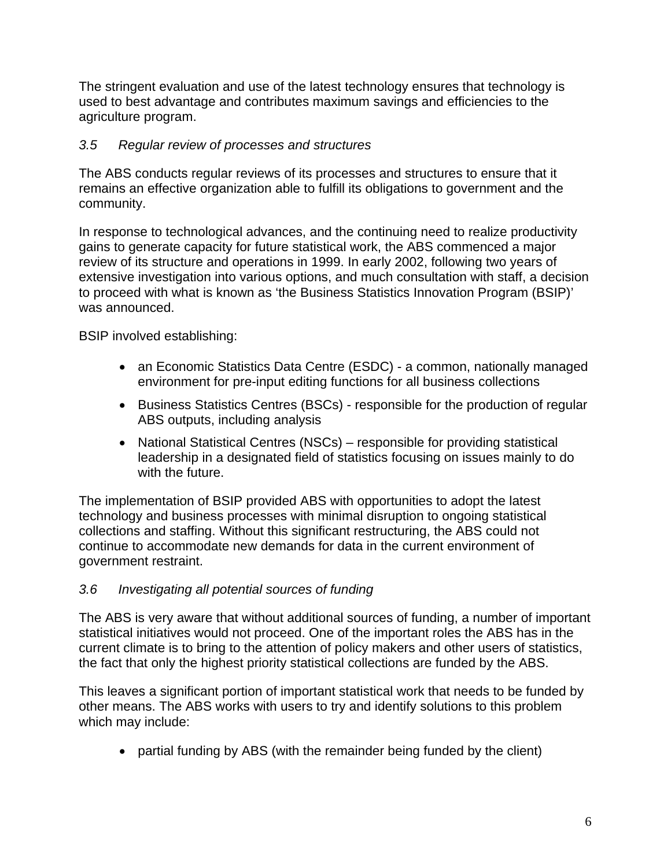The stringent evaluation and use of the latest technology ensures that technology is used to best advantage and contributes maximum savings and efficiencies to the agriculture program.

# *3.5 Regular review of processes and structures*

The ABS conducts regular reviews of its processes and structures to ensure that it remains an effective organization able to fulfill its obligations to government and the community.

In response to technological advances, and the continuing need to realize productivity gains to generate capacity for future statistical work, the ABS commenced a major review of its structure and operations in 1999. In early 2002, following two years of extensive investigation into various options, and much consultation with staff, a decision to proceed with what is known as 'the Business Statistics Innovation Program (BSIP)' was announced.

BSIP involved establishing:

- an Economic Statistics Data Centre (ESDC) a common, nationally managed environment for pre-input editing functions for all business collections
- Business Statistics Centres (BSCs) responsible for the production of regular ABS outputs, including analysis
- National Statistical Centres (NSCs) responsible for providing statistical leadership in a designated field of statistics focusing on issues mainly to do with the future.

The implementation of BSIP provided ABS with opportunities to adopt the latest technology and business processes with minimal disruption to ongoing statistical collections and staffing. Without this significant restructuring, the ABS could not continue to accommodate new demands for data in the current environment of government restraint.

# *3.6 Investigating all potential sources of funding*

The ABS is very aware that without additional sources of funding, a number of important statistical initiatives would not proceed. One of the important roles the ABS has in the current climate is to bring to the attention of policy makers and other users of statistics, the fact that only the highest priority statistical collections are funded by the ABS.

This leaves a significant portion of important statistical work that needs to be funded by other means. The ABS works with users to try and identify solutions to this problem which may include:

• partial funding by ABS (with the remainder being funded by the client)